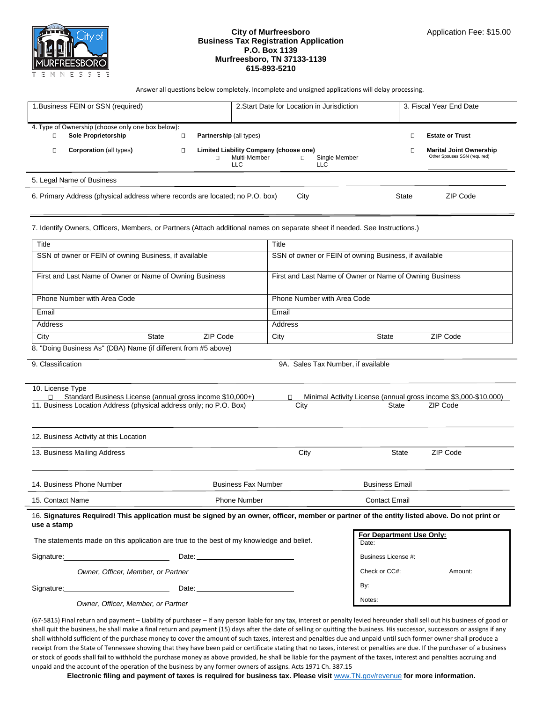

## **City of Murfreesboro Business Tax Registration Application P.O. Box 1139 Murfreesboro, TN 37133-1139 615-893-5210**

Answer all questions below completely. Incomplete and unsigned applications will delay processing.

| 1. Business FEIN or SSN (required)                                                                        |                                                   |   | 2. Start Date for Location in Jurisdiction                                                           |  | 3. Fiscal Year End Date                                        |  |
|-----------------------------------------------------------------------------------------------------------|---------------------------------------------------|---|------------------------------------------------------------------------------------------------------|--|----------------------------------------------------------------|--|
|                                                                                                           | 4. Type of Ownership (choose only one box below): |   |                                                                                                      |  |                                                                |  |
|                                                                                                           | Sole Proprietorship                               | о | <b>Partnership (all types)</b>                                                                       |  | <b>Estate or Trust</b>                                         |  |
|                                                                                                           | <b>Corporation (all types)</b>                    | О | Limited Liability Company (choose one)<br>Multi-Member<br>Single Member<br>п<br>$\Box$<br>LLC<br>LLC |  | <b>Marital Joint Ownership</b><br>Other Spouses SSN (required) |  |
| 5. Legal Name of Business                                                                                 |                                                   |   |                                                                                                      |  |                                                                |  |
| 6. Primary Address (physical address where records are located; no P.O. box)<br>ZIP Code<br>City<br>State |                                                   |   |                                                                                                      |  |                                                                |  |

7. Identify Owners, Officers, Members, or Partners (Attach additional names on separate sheet if needed. See Instructions.)

| Title                                                                                                                                                       |                                    |                                                                                                                                                                                                                                | Title                              |                                                                          |          |
|-------------------------------------------------------------------------------------------------------------------------------------------------------------|------------------------------------|--------------------------------------------------------------------------------------------------------------------------------------------------------------------------------------------------------------------------------|------------------------------------|--------------------------------------------------------------------------|----------|
| SSN of owner or FEIN of owning Business, if available                                                                                                       |                                    |                                                                                                                                                                                                                                |                                    | SSN of owner or FEIN of owning Business, if available                    |          |
| First and Last Name of Owner or Name of Owning Business                                                                                                     |                                    |                                                                                                                                                                                                                                |                                    | First and Last Name of Owner or Name of Owning Business                  |          |
| Phone Number with Area Code                                                                                                                                 |                                    |                                                                                                                                                                                                                                | Phone Number with Area Code        |                                                                          |          |
| Email                                                                                                                                                       |                                    |                                                                                                                                                                                                                                | Email                              |                                                                          |          |
| Address                                                                                                                                                     |                                    |                                                                                                                                                                                                                                | Address                            |                                                                          |          |
| City                                                                                                                                                        | State                              | ZIP Code                                                                                                                                                                                                                       | City                               | State                                                                    | ZIP Code |
| 8. "Doing Business As" (DBA) Name (if different from #5 above)                                                                                              |                                    |                                                                                                                                                                                                                                |                                    |                                                                          |          |
| 9. Classification                                                                                                                                           |                                    |                                                                                                                                                                                                                                | 9A. Sales Tax Number, if available |                                                                          |          |
|                                                                                                                                                             |                                    |                                                                                                                                                                                                                                |                                    |                                                                          |          |
| 10. License Type                                                                                                                                            |                                    |                                                                                                                                                                                                                                |                                    |                                                                          |          |
| 11. Business Location Address (physical address only; no P.O. Box)                                                                                          |                                    | Standard Business License (annual gross income \$10,000+)                                                                                                                                                                      | $\Box$<br>City                     | Minimal Activity License (annual gross income \$3,000-\$10,000)<br>State | ZIP Code |
|                                                                                                                                                             |                                    |                                                                                                                                                                                                                                |                                    |                                                                          |          |
|                                                                                                                                                             |                                    |                                                                                                                                                                                                                                |                                    |                                                                          |          |
| 12. Business Activity at this Location                                                                                                                      |                                    |                                                                                                                                                                                                                                |                                    |                                                                          |          |
| 13. Business Mailing Address                                                                                                                                |                                    |                                                                                                                                                                                                                                | City                               | State                                                                    | ZIP Code |
|                                                                                                                                                             |                                    |                                                                                                                                                                                                                                |                                    |                                                                          |          |
| 14. Business Phone Number                                                                                                                                   |                                    | <b>Business Fax Number</b>                                                                                                                                                                                                     |                                    | <b>Business Email</b>                                                    |          |
|                                                                                                                                                             |                                    |                                                                                                                                                                                                                                |                                    |                                                                          |          |
| <b>Phone Number</b><br>15. Contact Name                                                                                                                     |                                    |                                                                                                                                                                                                                                | <b>Contact Email</b>               |                                                                          |          |
| 16. Signatures Required! This application must be signed by an owner, officer, member or partner of the entity listed above. Do not print or<br>use a stamp |                                    |                                                                                                                                                                                                                                |                                    |                                                                          |          |
| The statements made on this application are true to the best of my knowledge and belief.                                                                    |                                    |                                                                                                                                                                                                                                |                                    | For Department Use Only:                                                 |          |
|                                                                                                                                                             |                                    |                                                                                                                                                                                                                                |                                    | Date:                                                                    |          |
| Signature: <u>www.common.common.common.common.common.common.common.common.common.com</u>                                                                    |                                    | Date: the contract of the contract of the contract of the contract of the contract of the contract of the contract of the contract of the contract of the contract of the contract of the contract of the contract of the cont |                                    | Business License #:                                                      |          |
|                                                                                                                                                             | Owner, Officer, Member, or Partner |                                                                                                                                                                                                                                |                                    | Check or CC#:                                                            | Amount:  |
| Signature: Date: Date: Date:                                                                                                                                |                                    |                                                                                                                                                                                                                                |                                    | By:                                                                      |          |
|                                                                                                                                                             |                                    |                                                                                                                                                                                                                                |                                    | Notes:                                                                   |          |

 *Owner, Officer, Member, or Partner* 

(67-5815) Final return and payment – Liability of purchaser – If any person liable for any tax, interest or penalty levied hereunder shall sell out his business of good or shall quit the business, he shall make a final return and payment (15) days after the date of selling or quitting the business. His successor, successors or assigns if any shall withhold sufficient of the purchase money to cover the amount of such taxes, interest and penalties due and unpaid until such former owner shall produce a receipt from the State of Tennessee showing that they have been paid or certificate stating that no taxes, interest or penalties are due. If the purchaser of a business or stock of goods shall fail to withhold the purchase money as above provided, he shall be liable for the payment of the taxes, interest and penalties accruing and unpaid and the account of the operation of the business by any former owners of assigns. Acts 1971 Ch. 387.15

Electronic filing and payment of taxes is required for business tax. Please visit **[www.TN.gov/revenue](http://www.tn.gov/revenue)** for more information.